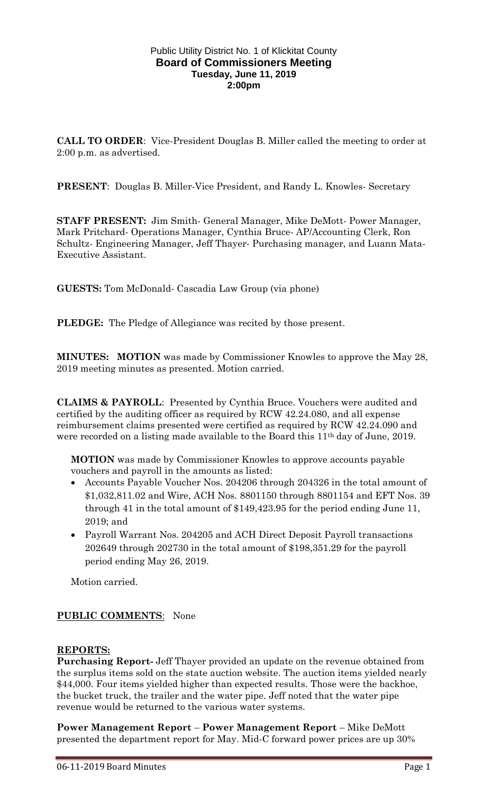#### Public Utility District No. 1 of Klickitat County **Board of Commissioners Meeting Tuesday, June 11, 2019 2:00pm**

**CALL TO ORDER**: Vice-President Douglas B. Miller called the meeting to order at 2:00 p.m. as advertised.

**PRESENT**: Douglas B. Miller-Vice President, and Randy L. Knowles- Secretary

**STAFF PRESENT:** Jim Smith- General Manager, Mike DeMott- Power Manager, Mark Pritchard- Operations Manager, Cynthia Bruce- AP/Accounting Clerk, Ron Schultz- Engineering Manager, Jeff Thayer- Purchasing manager, and Luann Mata-Executive Assistant.

**GUESTS:** Tom McDonald- Cascadia Law Group (via phone)

**PLEDGE:** The Pledge of Allegiance was recited by those present.

**MINUTES: MOTION** was made by Commissioner Knowles to approve the May 28, 2019 meeting minutes as presented. Motion carried.

**CLAIMS & PAYROLL**: Presented by Cynthia Bruce. Vouchers were audited and certified by the auditing officer as required by RCW 42.24.080, and all expense reimbursement claims presented were certified as required by RCW 42.24.090 and were recorded on a listing made available to the Board this 11<sup>th</sup> day of June, 2019.

**MOTION** was made by Commissioner Knowles to approve accounts payable vouchers and payroll in the amounts as listed:

- Accounts Payable Voucher Nos. 204206 through 204326 in the total amount of \$1,032,811.02 and Wire, ACH Nos. 8801150 through 8801154 and EFT Nos. 39 through 41 in the total amount of \$149,423.95 for the period ending June 11, 2019; and
- Payroll Warrant Nos. 204205 and ACH Direct Deposit Payroll transactions 202649 through 202730 in the total amount of \$198,351.29 for the payroll period ending May 26, 2019.

Motion carried.

## **PUBLIC COMMENTS**: None

### **REPORTS:**

**Purchasing Report-** Jeff Thayer provided an update on the revenue obtained from the surplus items sold on the state auction website. The auction items yielded nearly \$44,000. Four items yielded higher than expected results. Those were the backhoe, the bucket truck, the trailer and the water pipe. Jeff noted that the water pipe revenue would be returned to the various water systems.

**Power Management Report** – **Power Management Report** – Mike DeMott presented the department report for May. Mid-C forward power prices are up 30%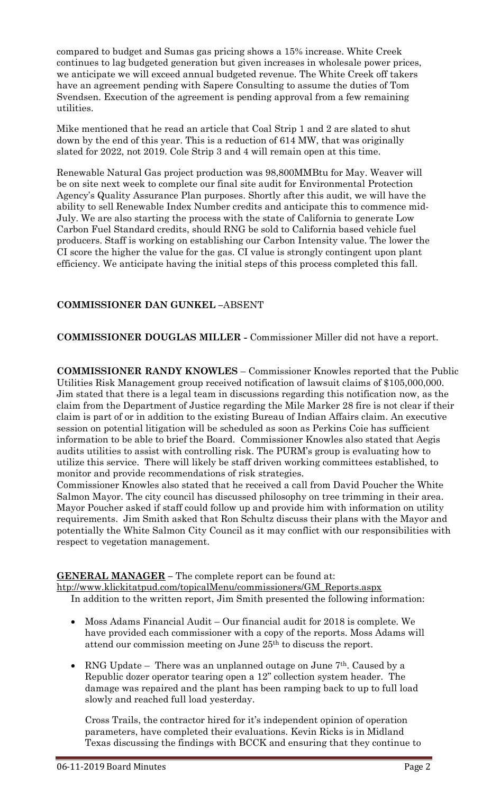compared to budget and Sumas gas pricing shows a 15% increase. White Creek continues to lag budgeted generation but given increases in wholesale power prices, we anticipate we will exceed annual budgeted revenue. The White Creek off takers have an agreement pending with Sapere Consulting to assume the duties of Tom Svendsen. Execution of the agreement is pending approval from a few remaining utilities.

Mike mentioned that he read an article that Coal Strip 1 and 2 are slated to shut down by the end of this year. This is a reduction of 614 MW, that was originally slated for 2022, not 2019. Cole Strip 3 and 4 will remain open at this time.

Renewable Natural Gas project production was 98,800MMBtu for May. Weaver will be on site next week to complete our final site audit for Environmental Protection Agency's Quality Assurance Plan purposes. Shortly after this audit, we will have the ability to sell Renewable Index Number credits and anticipate this to commence mid-July. We are also starting the process with the state of California to generate Low Carbon Fuel Standard credits, should RNG be sold to California based vehicle fuel producers. Staff is working on establishing our Carbon Intensity value. The lower the CI score the higher the value for the gas. CI value is strongly contingent upon plant efficiency. We anticipate having the initial steps of this process completed this fall.

# **COMMISSIONER DAN GUNKEL –**ABSENT

**COMMISSIONER DOUGLAS MILLER -** Commissioner Miller did not have a report.

**COMMISSIONER RANDY KNOWLES** – Commissioner Knowles reported that the Public Utilities Risk Management group received notification of lawsuit claims of \$105,000,000. Jim stated that there is a legal team in discussions regarding this notification now, as the claim from the Department of Justice regarding the Mile Marker 28 fire is not clear if their claim is part of or in addition to the existing Bureau of Indian Affairs claim. An executive session on potential litigation will be scheduled as soon as Perkins Coie has sufficient information to be able to brief the Board. Commissioner Knowles also stated that Aegis audits utilities to assist with controlling risk. The PURM's group is evaluating how to utilize this service. There will likely be staff driven working committees established, to monitor and provide recommendations of risk strategies.

Commissioner Knowles also stated that he received a call from David Poucher the White Salmon Mayor. The city council has discussed philosophy on tree trimming in their area. Mayor Poucher asked if staff could follow up and provide him with information on utility requirements. Jim Smith asked that Ron Schultz discuss their plans with the Mayor and potentially the White Salmon City Council as it may conflict with our responsibilities with respect to vegetation management.

## **GENERAL MANAGER –** The complete report can be found at:

[htp://www.klickitatpud.com/topicalMenu/commissioners/GM\\_Reports.aspx](http://www.klickitatpud.com/topicalMenu/commissioners/GM_Reports.aspx) In addition to the written report, Jim Smith presented the following information:

- Moss Adams Financial Audit Our financial audit for 2018 is complete. We have provided each commissioner with a copy of the reports. Moss Adams will attend our commission meeting on June 25th to discuss the report.
- RNG Update There was an unplanned outage on June 7<sup>th</sup>. Caused by a Republic dozer operator tearing open a 12" collection system header. The damage was repaired and the plant has been ramping back to up to full load slowly and reached full load yesterday.

Cross Trails, the contractor hired for it's independent opinion of operation parameters, have completed their evaluations. Kevin Ricks is in Midland Texas discussing the findings with BCCK and ensuring that they continue to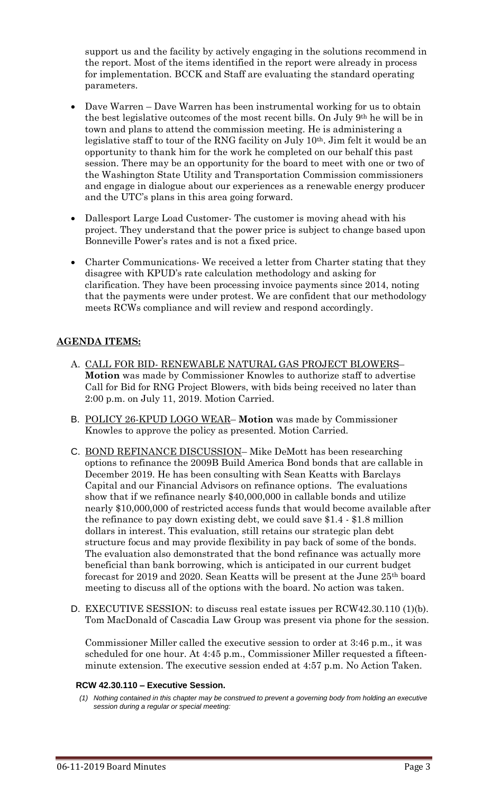support us and the facility by actively engaging in the solutions recommend in the report. Most of the items identified in the report were already in process for implementation. BCCK and Staff are evaluating the standard operating parameters.

- Dave Warren Dave Warren has been instrumental working for us to obtain the best legislative outcomes of the most recent bills. On July 9th he will be in town and plans to attend the commission meeting. He is administering a legislative staff to tour of the RNG facility on July 10th. Jim felt it would be an opportunity to thank him for the work he completed on our behalf this past session. There may be an opportunity for the board to meet with one or two of the Washington State Utility and Transportation Commission commissioners and engage in dialogue about our experiences as a renewable energy producer and the UTC's plans in this area going forward.
- Dallesport Large Load Customer- The customer is moving ahead with his project. They understand that the power price is subject to change based upon Bonneville Power's rates and is not a fixed price.
- Charter Communications- We received a letter from Charter stating that they disagree with KPUD's rate calculation methodology and asking for clarification. They have been processing invoice payments since 2014, noting that the payments were under protest. We are confident that our methodology meets RCWs compliance and will review and respond accordingly.

## **AGENDA ITEMS:**

- A. CALL FOR BID- RENEWABLE NATURAL GAS PROJECT BLOWERS– **Motion** was made by Commissioner Knowles to authorize staff to advertise Call for Bid for RNG Project Blowers, with bids being received no later than 2:00 p.m. on July 11, 2019. Motion Carried.
- B. POLICY 26-KPUD LOGO WEAR– **Motion** was made by Commissioner Knowles to approve the policy as presented. Motion Carried.
- C. BOND REFINANCE DISCUSSION– Mike DeMott has been researching options to refinance the 2009B Build America Bond bonds that are callable in December 2019. He has been consulting with Sean Keatts with Barclays Capital and our Financial Advisors on refinance options. The evaluations show that if we refinance nearly \$40,000,000 in callable bonds and utilize nearly \$10,000,000 of restricted access funds that would become available after the refinance to pay down existing debt, we could save \$1.4 - \$1.8 million dollars in interest. This evaluation, still retains our strategic plan debt structure focus and may provide flexibility in pay back of some of the bonds. The evaluation also demonstrated that the bond refinance was actually more beneficial than bank borrowing, which is anticipated in our current budget forecast for 2019 and 2020. Sean Keatts will be present at the June 25th board meeting to discuss all of the options with the board. No action was taken.
- D. EXECUTIVE SESSION: to discuss real estate issues per RCW42.30.110 (1)(b). Tom MacDonald of Cascadia Law Group was present via phone for the session.

Commissioner Miller called the executive session to order at 3:46 p.m., it was scheduled for one hour. At 4:45 p.m., Commissioner Miller requested a fifteenminute extension. The executive session ended at 4:57 p.m. No Action Taken.

### **RCW 42.30.110 – Executive Session.**

*<sup>(1)</sup> Nothing contained in this chapter may be construed to prevent a governing body from holding an executive session during a regular or special meeting:*